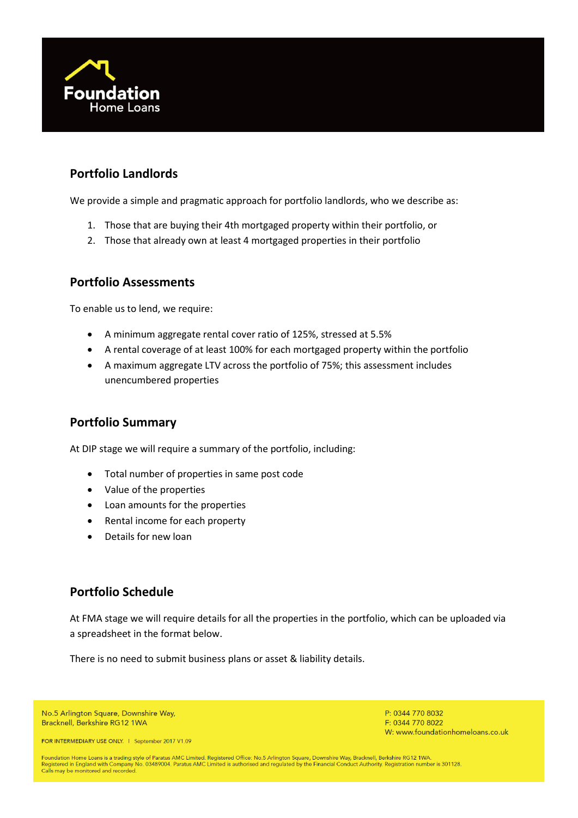

# **Portfolio Landlords**

We provide a simple and pragmatic approach for portfolio landlords, who we describe as:

- 1. Those that are buying their 4th mortgaged property within their portfolio, or
- 2. Those that already own at least 4 mortgaged properties in their portfolio

## **Portfolio Assessments**

To enable us to lend, we require:

- A minimum aggregate rental cover ratio of 125%, stressed at 5.5%
- A rental coverage of at least 100% for each mortgaged property within the portfolio
- A maximum aggregate LTV across the portfolio of 75%; this assessment includes unencumbered properties

## **Portfolio Summary**

At DIP stage we will require a summary of the portfolio, including:

- Total number of properties in same post code
- Value of the properties
- Loan amounts for the properties
- Rental income for each property
- Details for new loan

## **Portfolio Schedule**

At FMA stage we will require details for all the properties in the portfolio, which can be uploaded via a spreadsheet in the format below.

There is no need to submit business plans or asset & liability details.

No.5 Arlington Square, Downshire Way, Bracknell, Berkshire RG12 1WA

FOR INTERMEDIARY USE ONLY. | September 2017 V1.09

P: 0344 770 8032 F: 0344 770 8022 W: www.foundationhomeloans.co.uk

Foundation Home Loans is a trading style of Paratus AMC Limited. Registered Office: No.5 Arlington Square, Downshire Way, Bracknell, Berkshire RG12 1WA.<br>Registered in England with Company No. 03489004. Paratus AMC Limited Calls may be monitored and recorded